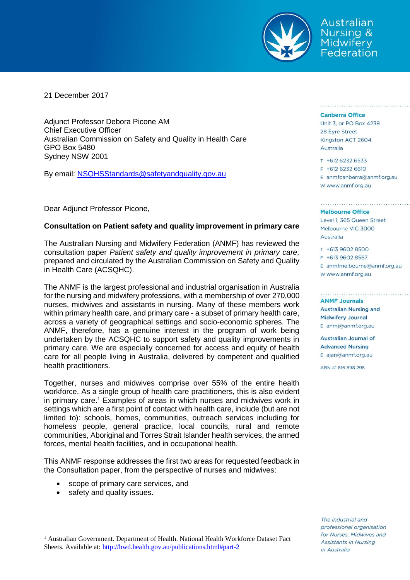

Australian **Nursing & Midwifery** Federation

21 December 2017

Adjunct Professor Debora Picone AM Chief Executive Officer Australian Commission on Safety and Quality in Health Care GPO Box 5480 Sydney NSW 2001

By email: [NSQHSStandards@safetyandquality.gov.au](mailto:NSQHSStandards@safetyandquality.gov.au)

Dear Adjunct Professor Picone,

# **Consultation on Patient safety and quality improvement in primary care**

The Australian Nursing and Midwifery Federation (ANMF) has reviewed the consultation paper *Patient safety and quality improvement in primary care,* prepared and circulated by the Australian Commission on Safety and Quality in Health Care (ACSQHC).

The ANMF is the largest professional and industrial organisation in Australia for the nursing and midwifery professions, with a membership of over 270,000 nurses, midwives and assistants in nursing. Many of these members work within primary health care, and primary care - a subset of primary health care, across a variety of geographical settings and socio-economic spheres. The ANMF, therefore, has a genuine interest in the program of work being undertaken by the ACSQHC to support safety and quality improvements in primary care. We are especially concerned for access and equity of health care for all people living in Australia, delivered by competent and qualified health practitioners.

Together, nurses and midwives comprise over 55% of the entire health workforce. As a single group of health care practitioners, this is also evident in primary care. <sup>1</sup> Examples of areas in which nurses and midwives work in settings which are a first point of contact with health care, include (but are not limited to): schools, homes, communities, outreach services including for homeless people, general practice, local councils, rural and remote communities, Aboriginal and Torres Strait Islander health services, the armed forces, mental health facilities, and in occupational health.

This ANMF response addresses the first two areas for requested feedback in the Consultation paper, from the perspective of nurses and midwives:

- scope of primary care services, and
- safety and quality issues.

 $\overline{a}$ 

<sup>1</sup> Australian Government. Department of Health. National Health Workforce Dataset Fact Sheets. Available at:<http://hwd.health.gov.au/publications.html#part-2>

#### **Canberra Office**

Unit 3, or PO Box 4239 28 Eyre Street Kingston ACT 2604 Australia

T +612 6232 6533 F +612 6232 6610  $E$  anmfcanberra@anmf.org.au w www.anmf.org.au

discussions and services are an area are services and

#### **Melbourne Office**

Level 1, 365 Queen Street Melbourne VIC 3000 Australia

T +613 9602 8500 F +613 9602 8567  $E$  anmfmelbourne@anmf.org.au W www.anmf.org.au

**ANME Journals Australian Nursing and Midwifery Journal** E anmj@anmf.org.au

**Australian Journal of Advanced Nursing** E ajan@anmf.org.au

ABN 41816898298

The industrial and professional organisation for Nurses, Midwives and Assistants in Nursing in Australia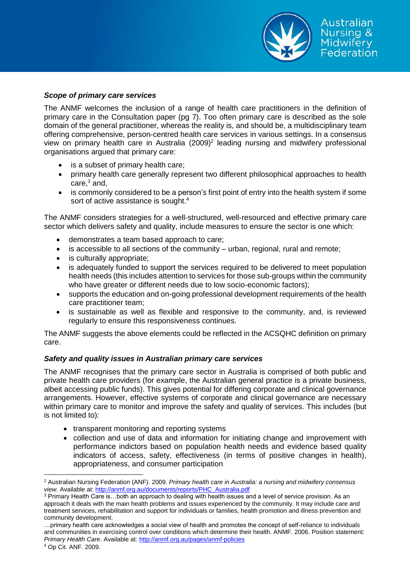

## *Scope of primary care services*

The ANMF welcomes the inclusion of a range of health care practitioners in the definition of primary care in the Consultation paper (pg 7). Too often primary care is described as the sole domain of the general practitioner, whereas the reality is, and should be, a multidisciplinary team offering comprehensive, person-centred health care services in various settings. In a consensus view on primary health care in Australia (2009)<sup>2</sup> leading nursing and midwifery professional organisations argued that primary care:

- is a subset of primary health care;
- primary health care generally represent two different philosophical approaches to health care, $3$  and,
- is commonly considered to be a person's first point of entry into the health system if some sort of active assistance is sought.<sup>4</sup>

The ANMF considers strategies for a well-structured, well-resourced and effective primary care sector which delivers safety and quality, include measures to ensure the sector is one which:

- demonstrates a team based approach to care;
- is accessible to all sections of the community urban, regional, rural and remote;
- is culturally appropriate;
- is adequately funded to support the services required to be delivered to meet population health needs (this includes attention to services for those sub-groups within the community who have greater or different needs due to low socio-economic factors);
- supports the education and on-going professional development requirements of the health care practitioner team;
- is sustainable as well as flexible and responsive to the community, and, is reviewed regularly to ensure this responsiveness continues.

The ANMF suggests the above elements could be reflected in the ACSQHC definition on primary care.

# *Safety and quality issues in Australian primary care services*

The ANMF recognises that the primary care sector in Australia is comprised of both public and private health care providers (for example, the Australian general practice is a private business, albeit accessing public funds). This gives potential for differing corporate and clinical governance arrangements. However, effective systems of corporate and clinical governance are necessary within primary care to monitor and improve the safety and quality of services. This includes (but is not limited to):

- transparent monitoring and reporting systems
- collection and use of data and information for initiating change and improvement with performance indictors based on population health needs and evidence based quality indicators of access, safety, effectiveness (in terms of positive changes in health), appropriateness, and consumer participation

 $\overline{a}$ <sup>2</sup> Australian Nursing Federation (ANF). 2009. *Primary health care in Australia: a nursing and midwifery consensus view.* Available at: [http://anmf.org.au/documents/reports/PHC\\_Australia.pdf](http://anmf.org.au/documents/reports/PHC_Australia.pdf)

<sup>3</sup> Primary Health Care is…both an approach to dealing with health issues and a level of service provision. As an approach it deals with the main health problems and issues experienced by the community. It may include care and treatment services, rehabilitation and support for individuals or families, health promotion and illness prevention and community development.

<sup>…</sup>primary health care acknowledges a social view of health and promotes the concept of self-reliance to individuals and communities in exercising control over conditions which determine their health. ANMF. 2006. Position statement: *Primary Health Care*. Available at:<http://anmf.org.au/pages/anmf-policies>

<sup>4</sup> Op Cit. ANF. 2009.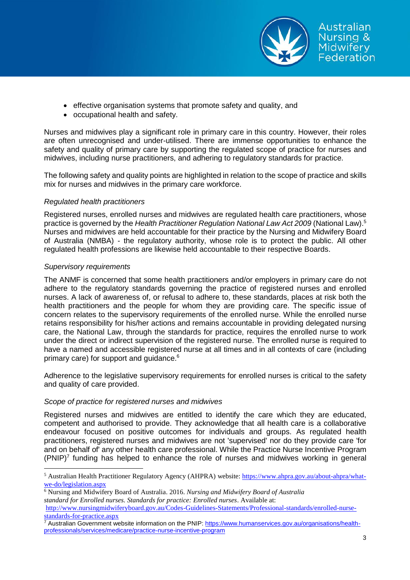

Australian Nursing & **Midwifery** Federation

- effective organisation systems that promote safety and quality, and
- occupational health and safety.

Nurses and midwives play a significant role in primary care in this country. However, their roles are often unrecognised and under-utilised. There are immense opportunities to enhance the safety and quality of primary care by supporting the regulated scope of practice for nurses and midwives, including nurse practitioners, and adhering to regulatory standards for practice.

The following safety and quality points are highlighted in relation to the scope of practice and skills mix for nurses and midwives in the primary care workforce.

# *Regulated health practitioners*

Registered nurses, enrolled nurses and midwives are regulated health care practitioners, whose practice is governed by the *Health Practitioner Regulation National Law Act 2009* (National Law). 5 Nurses and midwives are held accountable for their practice by the Nursing and Midwifery Board of Australia (NMBA) - the regulatory authority, whose role is to protect the public. All other regulated health professions are likewise held accountable to their respective Boards.

# *Supervisory requirements*

 $\overline{a}$ 

The ANMF is concerned that some health practitioners and/or employers in primary care do not adhere to the regulatory standards governing the practice of registered nurses and enrolled nurses. A lack of awareness of, or refusal to adhere to, these standards, places at risk both the health practitioners and the people for whom they are providing care. The specific issue of concern relates to the supervisory requirements of the enrolled nurse. While the enrolled nurse retains responsibility for his/her actions and remains accountable in providing delegated nursing care, the National Law, through the standards for practice, requires the enrolled nurse to work under the direct or indirect supervision of the registered nurse. The enrolled nurse is required to have a named and accessible registered nurse at all times and in all contexts of care (including primary care) for support and guidance. 6

Adherence to the legislative supervisory requirements for enrolled nurses is critical to the safety and quality of care provided.

# *Scope of practice for registered nurses and midwives*

Registered nurses and midwives are entitled to identify the care which they are educated, competent and authorised to provide. They acknowledge that all health care is a collaborative endeavour focused on positive outcomes for individuals and groups. As regulated health practitioners, registered nurses and midwives are not 'supervised' nor do they provide care 'for and on behalf of' any other health care professional. While the Practice Nurse Incentive Program  $(PNIP)^7$  funding has helped to enhance the role of nurses and midwives working in general

<sup>6</sup> Nursing and Midwifery Board of Australia. 2016. *Nursing and Midwifery Board of Australia*

*standard for Enrolled nurses. Standards for practice: Enrolled nurses*. Available at:

<sup>&</sup>lt;sup>5</sup> Australian Health Practitioner Regulatory Agency (AHPRA) website: [https://www.ahpra.gov.au/about-ahpra/what](https://www.ahpra.gov.au/about-ahpra/what-we-do/legislation.aspx)[we-do/legislation.aspx](https://www.ahpra.gov.au/about-ahpra/what-we-do/legislation.aspx)

[http://www.nursingmidwiferyboard.gov.au/Codes-Guidelines-Statements/Professional-standards/enrolled-nurse](http://www.nursingmidwiferyboard.gov.au/Codes-Guidelines-Statements/Professional-standards/enrolled-nurse-standards-for-practice.aspx)[standards-for-practice.aspx](http://www.nursingmidwiferyboard.gov.au/Codes-Guidelines-Statements/Professional-standards/enrolled-nurse-standards-for-practice.aspx)

<sup>&</sup>lt;sup>7</sup> Australian Government website information on the PNIP: [https://www.humanservices.gov.au/organisations/health](https://www.humanservices.gov.au/organisations/health-professionals/services/medicare/practice-nurse-incentive-program)[professionals/services/medicare/practice-nurse-incentive-program](https://www.humanservices.gov.au/organisations/health-professionals/services/medicare/practice-nurse-incentive-program)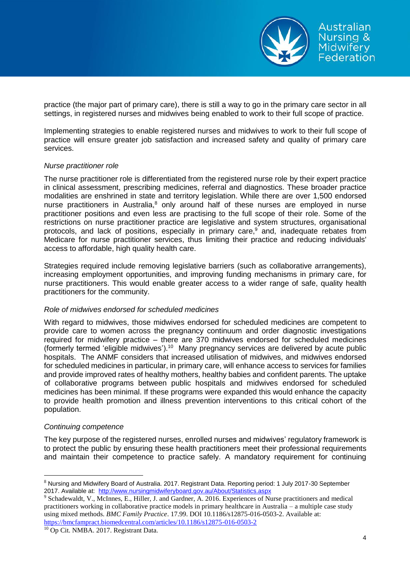

practice (the major part of primary care), there is still a way to go in the primary care sector in all settings, in registered nurses and midwives being enabled to work to their full scope of practice.

Implementing strategies to enable registered nurses and midwives to work to their full scope of practice will ensure greater job satisfaction and increased safety and quality of primary care services.

### *Nurse practitioner role*

The nurse practitioner role is differentiated from the registered nurse role by their expert practice in clinical assessment, prescribing medicines, referral and diagnostics. These broader practice modalities are enshrined in state and territory legislation. While there are over 1,500 endorsed nurse practitioners in Australia,<sup>8</sup> only around half of these nurses are employed in nurse practitioner positions and even less are practising to the full scope of their role. Some of the restrictions on nurse practitioner practice are legislative and system structures, organisational protocols, and lack of positions, especially in primary care, $9$  and, inadequate rebates from Medicare for nurse practitioner services, thus limiting their practice and reducing individuals' access to affordable, high quality health care.

Strategies required include removing legislative barriers (such as collaborative arrangements), increasing employment opportunities, and improving funding mechanisms in primary care, for nurse practitioners. This would enable greater access to a wider range of safe, quality health practitioners for the community.

# *Role of midwives endorsed for scheduled medicines*

With regard to midwives, those midwives endorsed for scheduled medicines are competent to provide care to women across the pregnancy continuum and order diagnostic investigations required for midwifery practice – there are 370 midwives endorsed for scheduled medicines (formerly termed 'eligible midwives'). <sup>10</sup> Many pregnancy services are delivered by acute public hospitals. The ANMF considers that increased utilisation of midwives, and midwives endorsed for scheduled medicines in particular, in primary care, will enhance access to services for families and provide improved rates of healthy mothers, healthy babies and confident parents. The uptake of collaborative programs between public hospitals and midwives endorsed for scheduled medicines has been minimal. If these programs were expanded this would enhance the capacity to provide health promotion and illness prevention interventions to this critical cohort of the population.

# *Continuing competence*

The key purpose of the registered nurses, enrolled nurses and midwives' regulatory framework is to protect the public by ensuring these health practitioners meet their professional requirements and maintain their competence to practice safely. A mandatory requirement for continuing

<sup>10</sup> Op Cit. NMBA. 2017. Registrant Data.

 $\overline{a}$ <sup>8</sup> Nursing and Midwifery Board of Australia. 2017. Registrant Data. Reporting period: 1 July 2017-30 September 2017. Available at: <http://www.nursingmidwiferyboard.gov.au/About/Statistics.aspx>

<sup>9</sup> Schadewaldt, V., McInnes, E., Hiller, J. and Gardner, A. 2016. Experiences of Nurse practitioners and medical practitioners working in collaborative practice models in primary healthcare in Australia – a multiple case study using mixed methods. *BMC Family Practice*. 17.99. DOI 10.1186/s12875-016-0503-2. Available at: <https://bmcfampract.biomedcentral.com/articles/10.1186/s12875-016-0503-2>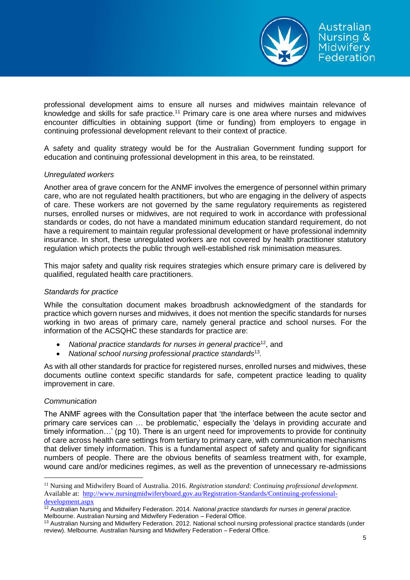

professional development aims to ensure all nurses and midwives maintain relevance of knowledge and skills for safe practice.<sup>11</sup> Primary care is one area where nurses and midwives encounter difficulties in obtaining support (time or funding) from employers to engage in continuing professional development relevant to their context of practice.

A safety and quality strategy would be for the Australian Government funding support for education and continuing professional development in this area, to be reinstated.

# *Unregulated workers*

Another area of grave concern for the ANMF involves the emergence of personnel within primary care, who are not regulated health practitioners, but who are engaging in the delivery of aspects of care. These workers are not governed by the same regulatory requirements as registered nurses, enrolled nurses or midwives, are not required to work in accordance with professional standards or codes, do not have a mandated minimum education standard requirement, do not have a requirement to maintain regular professional development or have professional indemnity insurance. In short, these unregulated workers are not covered by health practitioner statutory regulation which protects the public through well-established risk minimisation measures.

This major safety and quality risk requires strategies which ensure primary care is delivered by qualified, regulated health care practitioners.

## *Standards for practice*

While the consultation document makes broadbrush acknowledgment of the standards for practice which govern nurses and midwives, it does not mention the specific standards for nurses working in two areas of primary care, namely general practice and school nurses. For the information of the ACSQHC these standards for practice are:

- National practice standards for nurses in general practice<sup>12</sup>, and
- *National school nursing professional practice standards*<sup>13</sup> *.*

As with all other standards for practice for registered nurses, enrolled nurses and midwives, these documents outline context specific standards for safe, competent practice leading to quality improvement in care.

# *Communication*

 $\overline{a}$ 

The ANMF agrees with the Consultation paper that 'the interface between the acute sector and primary care services can … be problematic,' especially the 'delays in providing accurate and timely information…' (pg 10). There is an urgent need for improvements to provide for continuity of care across health care settings from tertiary to primary care, with communication mechanisms that deliver timely information. This is a fundamental aspect of safety and quality for significant numbers of people. There are the obvious benefits of seamless treatment with, for example, wound care and/or medicines regimes, as well as the prevention of unnecessary re-admissions

<sup>11</sup> Nursing and Midwifery Board of Australia. 2016. *Registration standard: Continuing professional development.* Available at: [http://www.nursingmidwiferyboard.gov.au/Registration-Standards/Continuing-professional](http://www.nursingmidwiferyboard.gov.au/Registration-Standards/Continuing-professional-development.aspx)[development.aspx](http://www.nursingmidwiferyboard.gov.au/Registration-Standards/Continuing-professional-development.aspx)

<sup>12</sup> Australian Nursing and Midwifery Federation. 2014. *National practice standards for nurses in general practice.* Melbourne. Australian Nursing and Midwifery Federation – Federal Office.

<sup>&</sup>lt;sup>13</sup> Australian Nursing and Midwifery Federation. 2012. National school nursing professional practice standards (under review). Melbourne. Australian Nursing and Midwifery Federation – Federal Office.